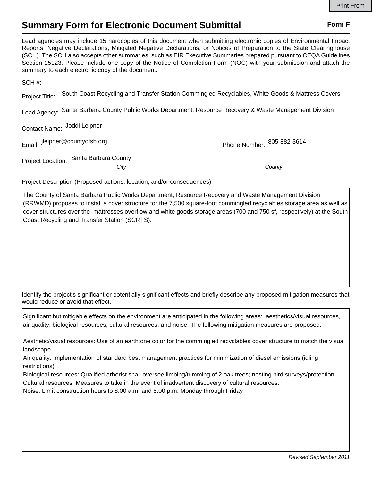## **Summary Form for Electronic Document Submittal Form F Form F**

Lead agencies may include 15 hardcopies of this document when submitting electronic copies of Environmental Impact Reports, Negative Declarations, Mitigated Negative Declarations, or Notices of Preparation to the State Clearinghouse (SCH). The SCH also accepts other summaries, such as EIR Executive Summaries prepared pursuant to CEQA Guidelines Section 15123. Please include one copy of the Notice of Completion Form (NOC) with your submission and attach the summary to each electronic copy of the document.

| Project Title:                                                                                           | South Coast Recycling and Transfer Station Commingled Recyclables, White Goods & Mattress Covers |                            |
|----------------------------------------------------------------------------------------------------------|--------------------------------------------------------------------------------------------------|----------------------------|
| Lead Agency: Santa Barbara County Public Works Department, Resource Recovery & Waste Management Division |                                                                                                  |                            |
|                                                                                                          | Contact Name: Joddi Leipner                                                                      |                            |
|                                                                                                          | Email: jleipner@countyofsb.org                                                                   | Phone Number: 805-882-3614 |
|                                                                                                          | Project Location: Santa Barbara County                                                           |                            |
|                                                                                                          | City                                                                                             | County                     |

Project Description (Proposed actions, location, and/or consequences).

The County of Santa Barbara Public Works Department, Resource Recovery and Waste Management Division (RRWMD) proposes to install a cover structure for the 7,500 square-foot commingled recyclables storage area as well as cover structures over the mattresses overflow and white goods storage areas (700 and 750 sf, respectively) at the South Coast Recycling and Transfer Station (SCRTS).

Identify the project's significant or potentially significant effects and briefly describe any proposed mitigation measures that would reduce or avoid that effect.

Significant but mitigable effects on the environment are anticipated in the following areas: aesthetics/visual resources, air quality, biological resources, cultural resources, and noise. The following mitigation measures are proposed:

Aesthetic/visual resources: Use of an earthtone color for the commingled recyclables cover structure to match the visual landscape

Air quality: Implementation of standard best management practices for minimization of diesel emissions (idling restrictions)

Biological resources: Qualified arborist shall oversee limbing/trimming of 2 oak trees; nesting bird surveys/protection Cultural resources: Measures to take in the event of inadvertent discovery of cultural resources.

Noise: Limit construction hours to 8:00 a.m. and 5:00 p.m. Monday through Friday